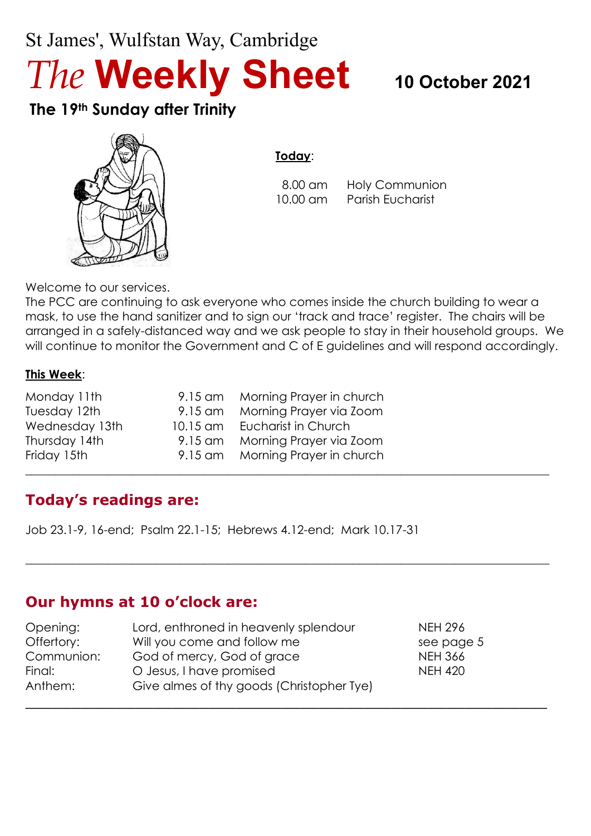# St James', Wulfstan Way, Cambridge *The* **Weekly Sheet <sup>10</sup> October <sup>2021</sup>**

# **The 19th Sunday after Trinity**



#### **Today**:

 8.00 am Holy Communion 10.00 am Parish Eucharist

Welcome to our services.

The PCC are continuing to ask everyone who comes inside the church building to wear a mask, to use the hand sanitizer and to sign our 'track and trace' register. The chairs will be arranged in a safely-distanced way and we ask people to stay in their household groups. We will continue to monitor the Government and C of E guidelines and will respond accordingly.

 $\_$  , and the set of the set of the set of the set of the set of the set of the set of the set of the set of the set of the set of the set of the set of the set of the set of the set of the set of the set of the set of th

 $\_$  , and the set of the set of the set of the set of the set of the set of the set of the set of the set of the set of the set of the set of the set of the set of the set of the set of the set of the set of the set of th

#### **This Week**:

| Monday 11th    | 9.15 am Morning Prayer in church |  |
|----------------|----------------------------------|--|
| Tuesday 12th   | 9.15 am Morning Prayer via Zoom  |  |
| Wednesday 13th | 10.15 am Eucharist in Church     |  |
| Thursday 14th  | 9.15 am Morning Prayer via Zoom  |  |
| Friday 15th    | 9.15 am Morning Prayer in church |  |

# **Today's readings are:**

Job 23.1-9, 16-end; Psalm 22.1-15; Hebrews 4.12-end; Mark 10.17-31

### **Our hymns at 10 o'clock are:**

| Opening:   | Lord, enthroned in heavenly splendour     | <b>NEH 296</b> |
|------------|-------------------------------------------|----------------|
| Offertory: | Will you come and follow me               | see page 5     |
| Communion: | God of mercy, God of grace                | <b>NEH 366</b> |
| Final:     | O Jesus, I have promised                  | <b>NEH 420</b> |
| Anthem:    | Give almes of thy goods (Christopher Tye) |                |
|            |                                           |                |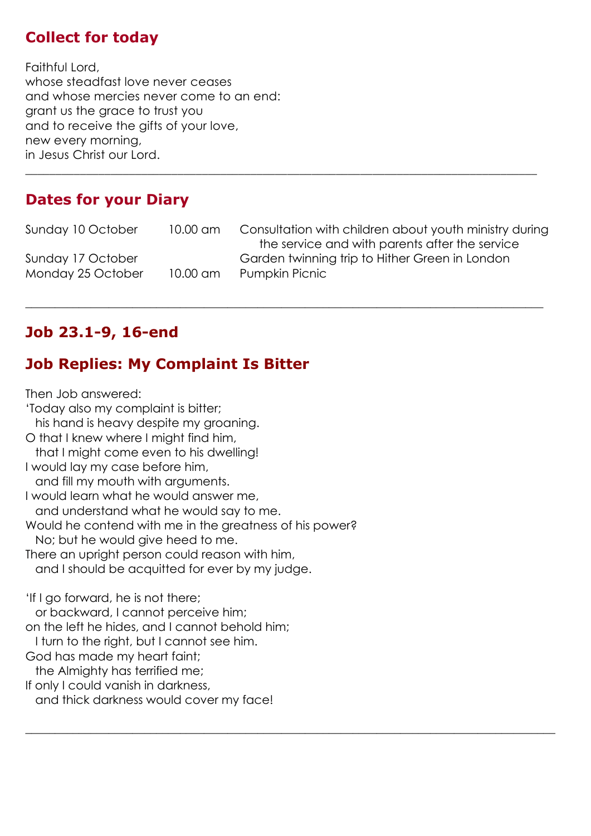# **Collect for today**

Faithful Lord, whose steadfast love never ceases and whose mercies never come to an end: grant us the grace to trust you and to receive the gifts of your love, new every morning, in Jesus Christ our Lord. \_\_\_\_\_\_\_\_\_\_\_\_\_\_\_\_\_\_\_\_\_\_\_\_\_\_\_\_\_\_\_\_\_\_\_\_\_\_\_\_\_\_\_\_\_\_\_\_\_\_\_\_\_\_\_\_\_\_\_\_\_\_\_\_\_\_\_\_\_\_\_\_\_\_\_\_\_\_\_\_\_\_\_\_

# **Dates for your Diary**

| Sunday 10 October | $10.00 \text{ cm}$ | Consultation with children about youth ministry during |
|-------------------|--------------------|--------------------------------------------------------|
|                   |                    | the service and with parents after the service         |
| Sunday 17 October |                    | Garden twinning trip to Hither Green in London         |
| Monday 25 October | $10.00$ am         | Pumpkin Picnic                                         |

 $\_$  , and the set of the set of the set of the set of the set of the set of the set of the set of the set of the set of the set of the set of the set of the set of the set of the set of the set of the set of the set of th

 $\_$  , and the set of the set of the set of the set of the set of the set of the set of the set of the set of the set of the set of the set of the set of the set of the set of the set of the set of the set of the set of th

# **Job 23.1-9, 16-end**

# **Job Replies: My Complaint Is Bitter**

Then Job answered: 'Today also my complaint is bitter; his hand is heavy despite my groaning. O that I knew where I might find him, that I might come even to his dwelling! I would lay my case before him, and fill my mouth with arguments. I would learn what he would answer me, and understand what he would say to me. Would he contend with me in the greatness of his power? No; but he would give heed to me. There an upright person could reason with him, and I should be acquitted for ever by my judge. 'If I go forward, he is not there; or backward, I cannot perceive him; on the left he hides, and I cannot behold him; I turn to the right, but I cannot see him. God has made my heart faint; the Almighty has terrified me; If only I could vanish in darkness, and thick darkness would cover my face!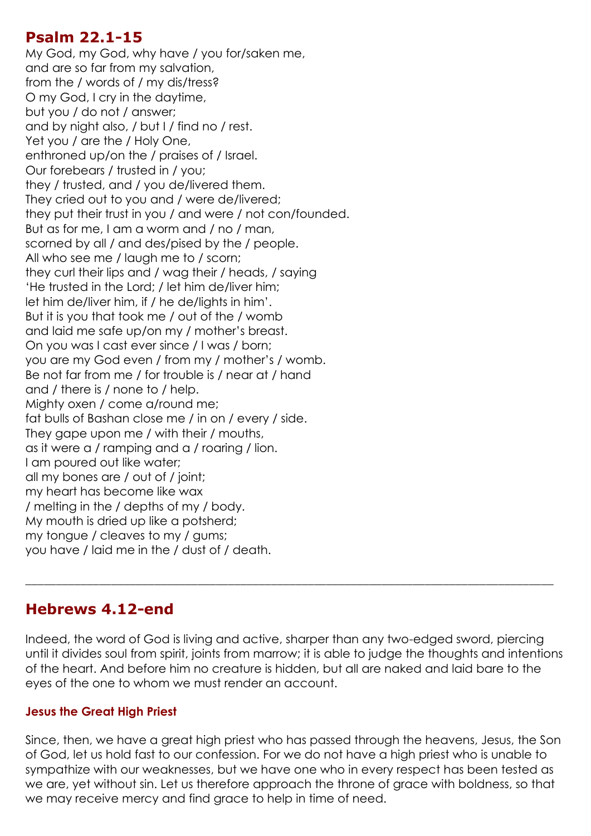#### **Psalm 22.1-15**

My God, my God, why have / you for/saken me, and are so far from my salvation, from the / words of / my dis/tress? O my God, I cry in the daytime, but you / do not / answer; and by night also, / but I / find no / rest. Yet you / are the / Holy One, enthroned up/on the / praises of / Israel. Our forebears / trusted in / you; they / trusted, and / you de/livered them. They cried out to you and / were de/livered; they put their trust in you / and were / not con/founded. But as for me, I am a worm and / no / man, scorned by all / and des/pised by the / people. All who see me / laugh me to / scorn; they curl their lips and / wag their / heads, / saying 'He trusted in the Lord; / let him de/liver him; let him de/liver him, if / he de/lights in him'. But it is you that took me / out of the / womb and laid me safe up/on my / mother's breast. On you was I cast ever since / I was / born; you are my God even / from my / mother's / womb. Be not far from me / for trouble is / near at / hand and / there is / none to / help. Mighty oxen / come a/round me; fat bulls of Bashan close me / in on / every / side. They gape upon me / with their / mouths, as it were a / ramping and a / roaring / lion. I am poured out like water; all my bones are / out of / joint; my heart has become like wax / melting in the / depths of my / body. My mouth is dried up like a potsherd; my tongue / cleaves to my / gums; you have / laid me in the / dust of / death.

#### **Hebrews 4.12-end**

Indeed, the word of God is living and active, sharper than any two-edged sword, piercing until it divides soul from spirit, joints from marrow; it is able to judge the thoughts and intentions of the heart. And before him no creature is hidden, but all are naked and laid bare to the eyes of the one to whom we must render an account.

\_\_\_\_\_\_\_\_\_\_\_\_\_\_\_\_\_\_\_\_\_\_\_\_\_\_\_\_\_\_\_\_\_\_\_\_\_\_\_\_\_\_\_\_\_\_\_\_\_\_\_\_\_\_\_\_\_\_\_\_\_\_\_\_\_\_\_\_\_\_\_\_\_\_\_\_\_\_\_\_\_\_\_\_\_\_

#### **Jesus the Great High Priest**

Since, then, we have a great high priest who has passed through the heavens, Jesus, the Son of God, let us hold fast to our confession. For we do not have a high priest who is unable to sympathize with our weaknesses, but we have one who in every respect has been tested as we are, yet without sin. Let us therefore approach the throne of grace with boldness, so that we may receive mercy and find grace to help in time of need.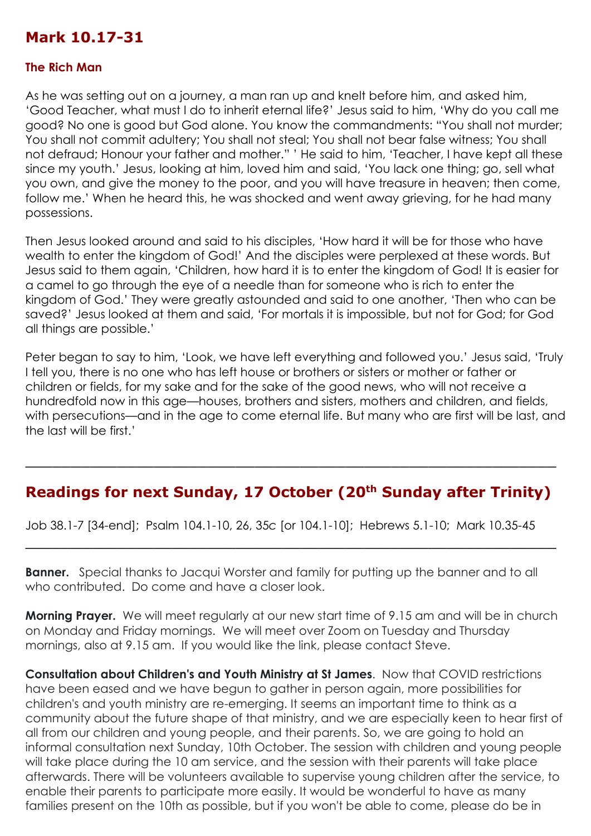# **Mark 10.17-31**

#### **The Rich Man**

As he was setting out on a journey, a man ran up and knelt before him, and asked him, 'Good Teacher, what must I do to inherit eternal life?' Jesus said to him, 'Why do you call me good? No one is good but God alone. You know the commandments: "You shall not murder; You shall not commit adultery; You shall not steal; You shall not bear false witness; You shall not defraud; Honour your father and mother." ' He said to him, 'Teacher, I have kept all these since my youth.' Jesus, looking at him, loved him and said, 'You lack one thing; go, sell what you own, and give the money to the poor, and you will have treasure in heaven; then come, follow me.' When he heard this, he was shocked and went away grieving, for he had many possessions.

Then Jesus looked around and said to his disciples, 'How hard it will be for those who have wealth to enter the kingdom of God!' And the disciples were perplexed at these words. But Jesus said to them again, 'Children, how hard it is to enter the kingdom of God! It is easier for a camel to go through the eye of a needle than for someone who is rich to enter the kingdom of God.' They were greatly astounded and said to one another, 'Then who can be saved?' Jesus looked at them and said, 'For mortals it is impossible, but not for God; for God all things are possible.'

Peter began to say to him, 'Look, we have left everything and followed you.' Jesus said, 'Truly I tell you, there is no one who has left house or brothers or sisters or mother or father or children or fields, for my sake and for the sake of the good news, who will not receive a hundredfold now in this age—houses, brothers and sisters, mothers and children, and fields, with persecutions—and in the age to come eternal life. But many who are first will be last, and the last will be first.'

### **Readings for next Sunday, 17 October (20th Sunday after Trinity)**

\_\_\_\_\_\_\_\_\_\_\_\_\_\_\_\_\_\_\_\_\_\_\_\_\_\_\_\_\_\_\_\_\_\_\_\_\_\_\_\_\_\_\_\_\_\_\_\_\_\_\_\_\_\_\_\_\_\_

\_\_\_\_\_\_\_\_\_\_\_\_\_\_\_\_\_\_\_\_\_\_\_\_\_\_\_\_\_\_\_\_\_\_\_\_\_\_\_\_\_\_\_\_\_\_\_\_\_\_\_\_\_\_\_\_\_\_

Job 38.1-7 [34-end]; Psalm 104.1-10, 26, 35*c* [or 104.1-10]; Hebrews 5.1-10; Mark 10.35-45

**Banner.** Special thanks to Jacqui Worster and family for putting up the banner and to all who contributed. Do come and have a closer look.

**Morning Prayer.** We will meet regularly at our new start time of 9.15 am and will be in church on Monday and Friday mornings. We will meet over Zoom on Tuesday and Thursday mornings, also at 9.15 am. If you would like the link, please contact Steve.

**Consultation about Children's and Youth Ministry at St James**. Now that COVID restrictions have been eased and we have begun to gather in person again, more possibilities for children's and youth ministry are re-emerging. It seems an important time to think as a community about the future shape of that ministry, and we are especially keen to hear first of all from our children and young people, and their parents. So, we are going to hold an informal consultation next Sunday, 10th October. The session with children and young people will take place during the 10 am service, and the session with their parents will take place afterwards. There will be volunteers available to supervise young children after the service, to enable their parents to participate more easily. It would be wonderful to have as many families present on the 10th as possible, but if you won't be able to come, please do be in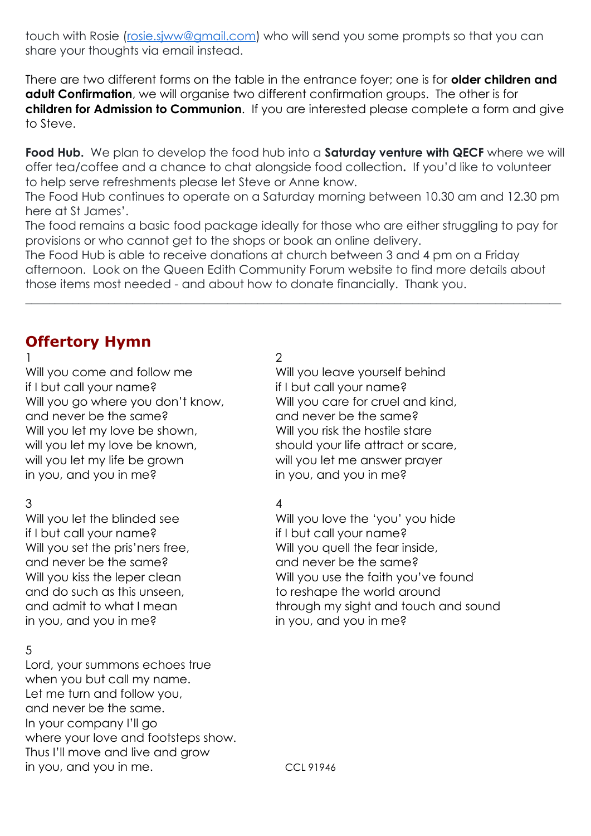touch with Rosie [\(rosie.sjww@gmail.com\)](mailto:rosie.sjww@gmail.com) who will send you some prompts so that you can share your thoughts via email instead.

There are two different forms on the table in the entrance foyer; one is for **older children and adult Confirmation**, we will organise two different confirmation groups. The other is for **children for Admission to Communion**. If you are interested please complete a form and give to Steve.

**Food Hub.** We plan to develop the food hub into a **Saturday venture with QECF** where we will offer tea/coffee and a chance to chat alongside food collection**.** If you'd like to volunteer to help serve refreshments please let Steve or Anne know.

The Food Hub continues to operate on a Saturday morning between 10.30 am and 12.30 pm here at St James'.

The food remains a basic food package ideally for those who are either struggling to pay for provisions or who cannot get to the shops or book an online delivery.

The Food Hub is able to receive donations at church between 3 and 4 pm on a Friday afternoon. Look on the Queen Edith Community Forum website to find more details about those items most needed - and about how to donate financially. Thank you.

 $\_$  , and the set of the set of the set of the set of the set of the set of the set of the set of the set of the set of the set of the set of the set of the set of the set of the set of the set of the set of the set of th

### **Offertory Hymn**

Will you come and follow me Will you leave yourself behind if I but call your name? if I but call your name? Will you go where you don't know, Will you care for cruel and kind, and never be the same? and never be the same? Will you let my love be shown, Will you risk the hostile stare will you let my love be known, should your life attract or scare, will you let my life be grown will you let me answer prayer in you, and you in me? in you, and you in me?

#### $3 \overline{4}$

if I but call your name? if I but call your name? Will you set the pris'ners free, Will you quell the fear inside, and never be the same? and never be the same? and do such as this unseen, the world around around around in you, and you in me? in you, and you in me?

#### 5

Lord, your summons echoes true when you but call my name. Let me turn and follow you, and never be the same. In your company I'll go where your love and footsteps show. Thus I'll move and live and grow in you, and you in me. CCL 91946

#### $1$  2

Will you let the blinded see Will you love the 'you' you hide Will you kiss the leper clean Will you use the faith you've found and admit to what I mean through my sight and touch and sound